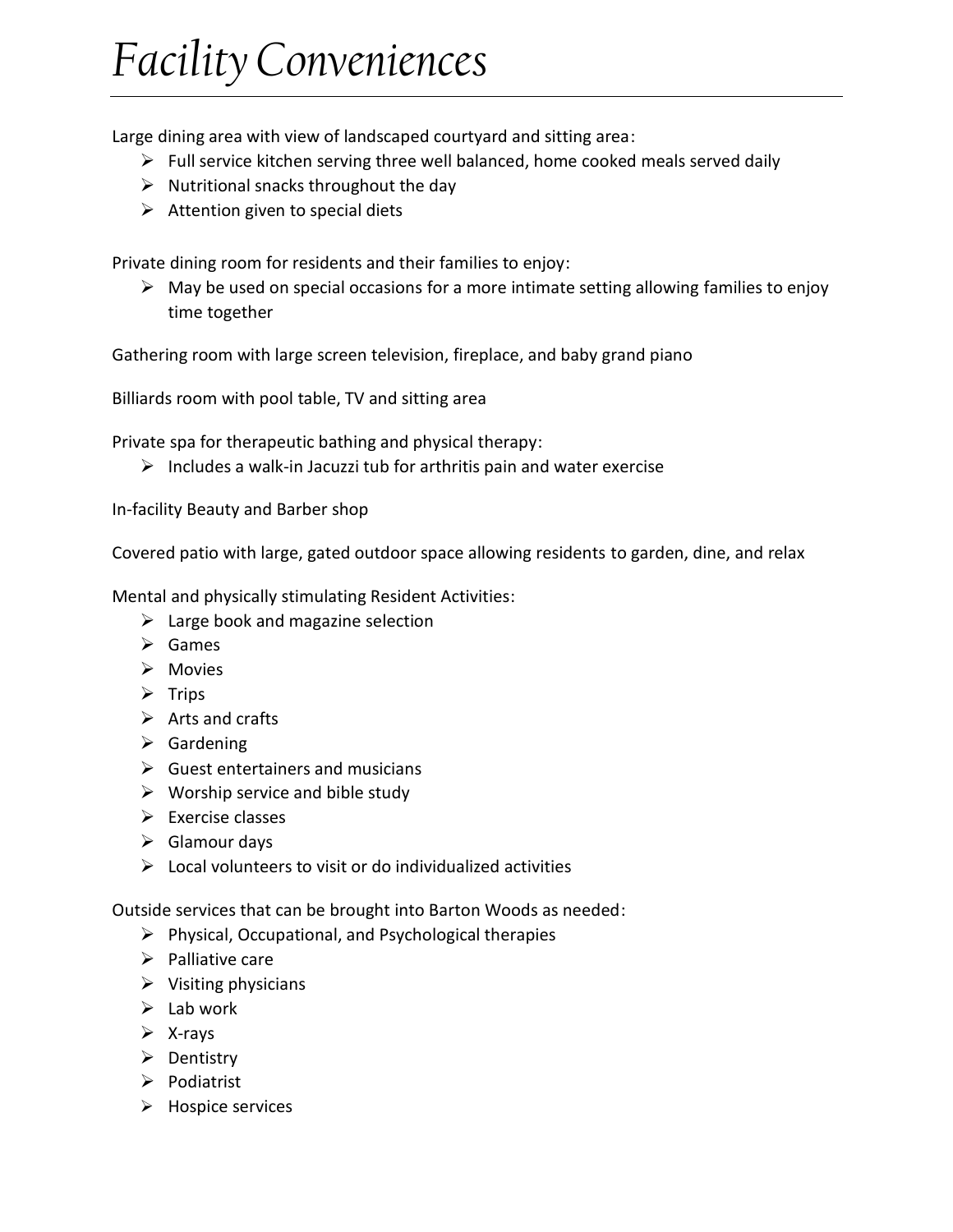## *Facility Conveniences*

Large dining area with view of landscaped courtyard and sitting area:

- $\triangleright$  Full service kitchen serving three well balanced, home cooked meals served daily
- $\triangleright$  Nutritional snacks throughout the day
- $\triangleright$  Attention given to special diets

Private dining room for residents and their families to enjoy:

 $\triangleright$  May be used on special occasions for a more intimate setting allowing families to enjoy time together

Gathering room with large screen television, fireplace, and baby grand piano

Billiards room with pool table, TV and sitting area

Private spa for therapeutic bathing and physical therapy:

 $\triangleright$  Includes a walk-in Jacuzzi tub for arthritis pain and water exercise

In-facility Beauty and Barber shop

Covered patio with large, gated outdoor space allowing residents to garden, dine, and relax

Mental and physically stimulating Resident Activities:

- $\triangleright$  Large book and magazine selection
- $\triangleright$  Games
- $\triangleright$  Movies
- $\triangleright$  Trips
- $\triangleright$  Arts and crafts
- $\triangleright$  Gardening
- $\triangleright$  Guest entertainers and musicians
- $\triangleright$  Worship service and bible study
- $\triangleright$  Exercise classes
- $\triangleright$  Glamour days
- $\triangleright$  Local volunteers to visit or do individualized activities

Outside services that can be brought into Barton Woods as needed:

- $\triangleright$  Physical, Occupational, and Psychological therapies
- $\triangleright$  Palliative care
- $\triangleright$  Visiting physicians
- $\triangleright$  Lab work
- $\triangleright$  X-rays
- $\triangleright$  Dentistry
- $\triangleright$  Podiatrist
- $\triangleright$  Hospice services